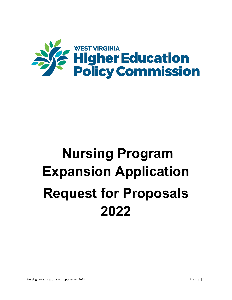

# **Nursing Program Expansion Application Request for Proposals 2022**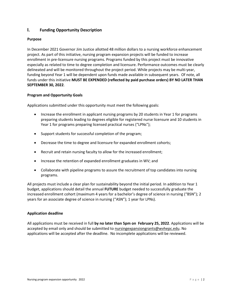# **I. Funding Opportunity Description**

# **Purpose**

In December 2021 Governor Jim Justice allotted 48 million dollars to a nursing workforce enhancement project. As part of this initiative, nursing program expansion projects will be funded to increase enrollment in pre-licensure nursing programs. Programs funded by this project must be innovative especially as related to time to degree completion and licensure. Performance outcomes must be clearly delineated and will be monitored throughout the project period. While projects may be multi-year, funding beyond Year 1 will be dependent upon funds made available in subsequent years. Of note, all funds under this initiative **MUST BE EXPENDED (reflected by paid purchase orders) BY NO LATER THAN SEPTEMBER 30, 2022**.

# **Program and Opportunity Goals**

Applications submitted under this opportunity must meet the following goals:

- Increase the enrollment in applicant nursing programs by 20 students in Year 1 for programs preparing students leading to degrees eligible for registered nurse licensure and 10 students in Year 1 for programs preparing licensed practical nurses ("LPNs");
- Support students for successful completion of the program;
- Decrease the time to degree and licensure for expanded enrollment cohorts;
- Recruit and retain nursing faculty to allow for the increased enrollment;
- Increase the retention of expanded enrollment graduates in WV; and
- Collaborate with pipeline programs to assure the recruitment of top candidates into nursing programs.

All projects must include a clear plan for sustainability beyond the initial period. In addition to Year 1 budget, applications should detail the annual **FUTURE** budget needed to successfully graduate the increased enrollment cohort (maximum 4 years for a bachelor's degree of science in nursing ("BSN"); 2 years for an associate degree of science in nursing ("ASN"); 1 year for LPNs).

#### **Application deadline**

All applications must be received in full **by no later than 5pm on February 25, 2022**. Applications will be accepted by email only and should be submitted to [nursingexpansiongrants@wvhepc.edu.](mailto:nursingexpansiongrants@wvhepc.edu) No applications will be accepted after the deadline. No incomplete applications will be reviewed.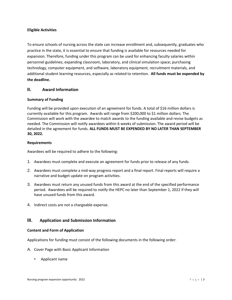# **Eligible Activities**

To ensure schools of nursing across the state can increase enrollment and, subsequently, graduates who practice in the state, it is essential to ensure that funding is available for resources needed for expansion. Therefore, funding under this program can be used for enhancing faculty salaries within personnel guidelines; expanding classroom, laboratory, and clinical simulation space; purchasing technology, computer equipment, and software, laboratory equipment, recruitment materials, and additional student learning resources, especially as related to retention. **All funds must be expended by the deadline.** 

# **II. Award Information**

# **Summary of Funding**

Funding will be provided upon execution of an agreement for funds. A total of \$16 million dollars is currently available for this program. Awards will range from \$200,000 to \$1 million dollars. The Commission will work with the awardee to match awards to the funding available and revise budgets as needed. The Commission will notify awardees within 6 weeks of submission. The award period will be detailed in the agreement for funds. **ALL FUNDS MUST BE EXPENDED BY NO LATER THAN SEPTEMBER 30, 2022.**

# **Requirements**

Awardees will be required to adhere to the following:

- 1. Awardees must complete and execute an agreement for funds prior to release of any funds.
- 2. Awardees must complete a mid-way progress report and a final report. Final reports will require a narrative and budget update on program activities.
- 3. Awardees must return any unused funds from this award at the end of the specified performance period. Awardees will be required to notify the HEPC no later than September 1, 2022 if they will have unused funds from this award.
- 4. Indirect costs are not a chargeable expense.

# **III. Application and Submission Information**

#### **Content and Form of Application**

Applications for funding must consist of the following documents in the following order:

- A. Cover Page with Basic Applicant Information
	- Applicant name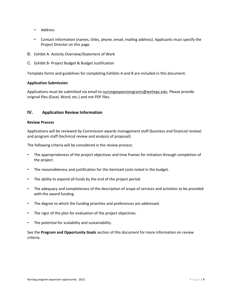- Address
- Contact information (names, titles, phone, email, mailing address). Applicants must specify the Project Director on this page.
- B. Exhibit A- Activity Overview/Statement of Work
- C. Exhibit B- Project Budget & Budget Justification

Template forms and guidelines for completing Exhibits A and B are included in this document.

# **Application Submission**

Applications must be submitted via email to [nursingexpansiongrants@wvhepc.edu.](mailto:nursingexpansiongrants@wvhepc.edu) Please provide original files (Excel, Word, etc.) and not PDF files.

# **IV. Application Review Information**

#### **Review Process**

Applications will be reviewed by Commission awards management staff (business and financial review) and program staff (technical review and analysis of proposal).

The following criteria will be considered in the review process:

- The appropriateness of the project objectives and time frames for initiation through completion of the project.
- The reasonableness and justification for the itemized costs noted in the budget.
- The ability to expend all funds by the end of the project period.
- The adequacy and completeness of the description of scope of services and activities to be provided with the award funding.
- The degree to which the funding priorities and preferences are addressed.
- The rigor of the plan for evaluation of the project objectives.
- The potential for scalability and sustainability.

See the **Program and Opportunity Goals** section of this document for more information on review criteria.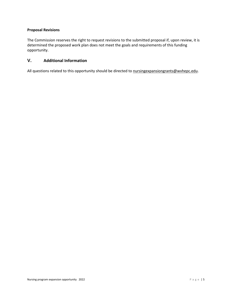# **Proposal Revisions**

The Commission reserves the right to request revisions to the submitted proposal if, upon review, it is determined the proposed work plan does not meet the goals and requirements of this funding opportunity.

# **V. Additional Information**

All questions related to this opportunity should be directed to [nursingexpansiongrants@wvhepc.edu.](mailto:nursingexpansiongrants@wvhepc.edu)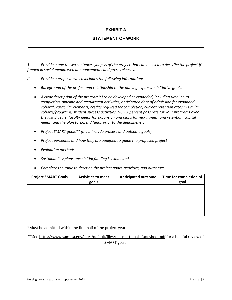# **EXHIBIT A**

# **STATEMENT OF WORK**

1. Provide a one to two sentence synopsis of the project that can be used to describe the project if *funded in social media, web announcements and press releases.*

- *2. Provide a proposal which includes the following information:*
	- *Background of the project and relationship to the nursing expansion initiative goals.*
	- *A clear description of the program(s) to be developed or expanded, including timeline to completion, pipeline and recruitment activities, anticipated date of admission for expanded cohort\*, curricular elements, credits required for completion, current retention rates in similar cohorts/programs, student success activities, NCLEX percent pass rate for your programs over the last 3 years, faculty needs for expansion and plans for recruitment and retention, capital needs, and the plan to expend funds prior to the deadline, etc.*
	- *Project SMART goals\*\* (must include process and outcome goals)*
	- *Project personnel and how they are qualified to guide the proposed project*
	- *Evaluation methods*
	- *Sustainability plans once initial funding is exhausted*
	- *Complete the table to describe the project goals, activities, and outcomes:*

| <b>Project SMART Goals</b> | <b>Activities to meet</b><br>goals | <b>Anticipated outcome</b> | Time for completion of<br>goal |
|----------------------------|------------------------------------|----------------------------|--------------------------------|
|                            |                                    |                            |                                |
|                            |                                    |                            |                                |
|                            |                                    |                            |                                |
|                            |                                    |                            |                                |
|                            |                                    |                            |                                |
|                            |                                    |                            |                                |

\*Must be admitted within the first half of the project year

\*\*See <https://www.samhsa.gov/sites/default/files/nc-smart-goals-fact-sheet.pdf> for a helpful review of SMART goals.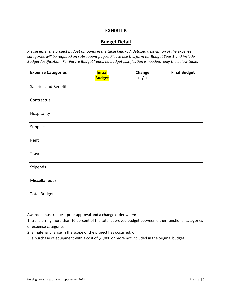# **EXHIBIT B**

# **Budget Detail**

*Please enter the project budget amounts in the table below. A detailed description of the expense categories will be required on subsequent pages. Please use this form for Budget Year 1 and include Budget Justification. For Future Budget Years, no budget justification is needed, only the below table.*

| <b>Expense Categories</b>    | <b>Initial</b><br><b>Budget</b> | Change<br>$(+/-)$ | <b>Final Budget</b> |
|------------------------------|---------------------------------|-------------------|---------------------|
| <b>Salaries and Benefits</b> |                                 |                   |                     |
| Contractual                  |                                 |                   |                     |
| Hospitality                  |                                 |                   |                     |
| Supplies                     |                                 |                   |                     |
| Rent                         |                                 |                   |                     |
| Travel                       |                                 |                   |                     |
| Stipends                     |                                 |                   |                     |
| Miscellaneous                |                                 |                   |                     |
| <b>Total Budget</b>          |                                 |                   |                     |

Awardee must request prior approval and a change order when:

1) transferring more than 10 percent of the total approved budget between either functional categories or expense categories;

2) a material change in the scope of the project has occurred; or

3) a purchase of equipment with a cost of \$1,000 or more not included in the original budget.